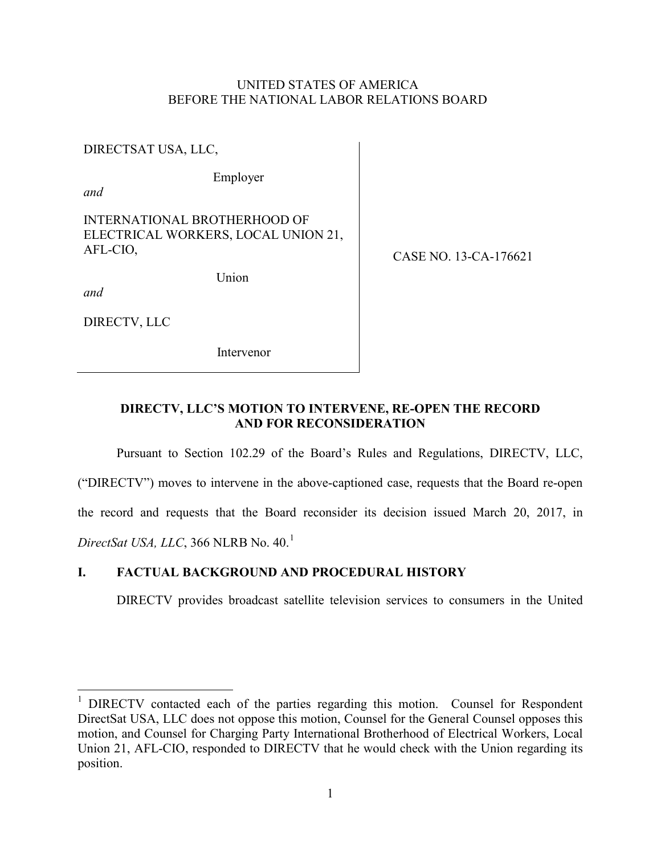## UNITED STATES OF AMERICA BEFORE THE NATIONAL LABOR RELATIONS BOARD

DIRECTSAT USA, LLC,

Employer

*and*

INTERNATIONAL BROTHERHOOD OF ELECTRICAL WORKERS, LOCAL UNION 21, AFL-CIO,

Union

CASE NO. 13-CA-176621

*and*

DIRECTV, LLC

Intervenor

## **DIRECTV, LLC'S MOTION TO INTERVENE, RE-OPEN THE RECORD AND FOR RECONSIDERATION**

Pursuant to Section 102.29 of the Board's Rules and Regulations, DIRECTV, LLC,

("DIRECTV") moves to intervene in the above-captioned case, requests that the Board re-open the record and requests that the Board reconsider its decision issued March 20, 2017, in *DirectSat USA, LLC*, 366 NLRB No. 40. [1](#page-0-0)

# **I. FACTUAL BACKGROUND AND PROCEDURAL HISTORY**

DIRECTV provides broadcast satellite television services to consumers in the United

<span id="page-0-0"></span><sup>&</sup>lt;sup>1</sup> DIRECTV contacted each of the parties regarding this motion. Counsel for Respondent DirectSat USA, LLC does not oppose this motion, Counsel for the General Counsel opposes this motion, and Counsel for Charging Party International Brotherhood of Electrical Workers, Local Union 21, AFL-CIO, responded to DIRECTV that he would check with the Union regarding its position.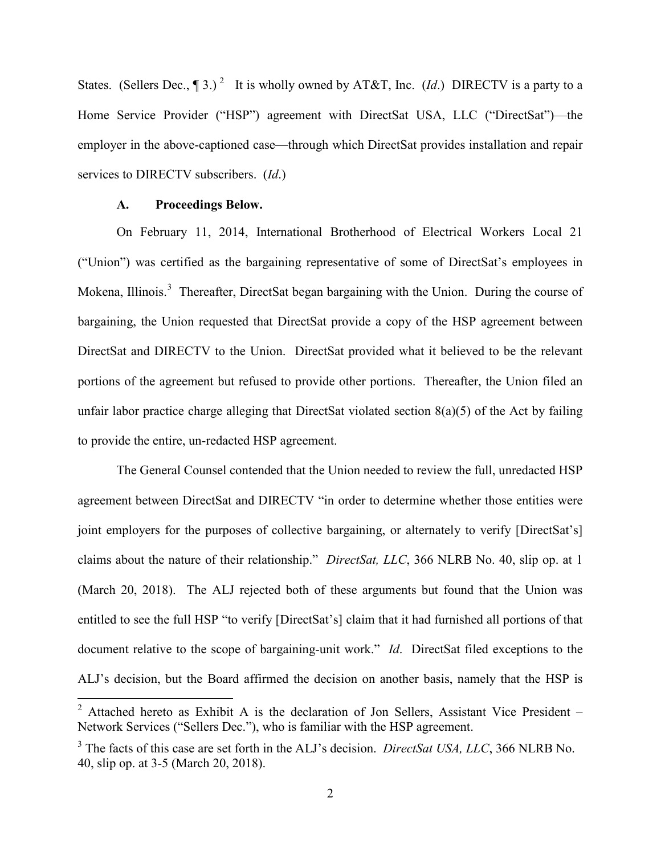States. (Sellers Dec.,  $\P$ 3.)<sup>[2](#page-1-0)</sup> It is wholly owned by AT&T, Inc. *(Id.)* DIRECTV is a party to a Home Service Provider ("HSP") agreement with DirectSat USA, LLC ("DirectSat")—the employer in the above-captioned case—through which DirectSat provides installation and repair services to DIRECTV subscribers. (*Id*.)

#### **A. Proceedings Below.**

On February 11, 2014, International Brotherhood of Electrical Workers Local 21 ("Union") was certified as the bargaining representative of some of DirectSat's employees in Mokena, Illinois.<sup>[3](#page-1-1)</sup> Thereafter, DirectSat began bargaining with the Union. During the course of bargaining, the Union requested that DirectSat provide a copy of the HSP agreement between DirectSat and DIRECTV to the Union. DirectSat provided what it believed to be the relevant portions of the agreement but refused to provide other portions. Thereafter, the Union filed an unfair labor practice charge alleging that DirectSat violated section 8(a)(5) of the Act by failing to provide the entire, un-redacted HSP agreement.

The General Counsel contended that the Union needed to review the full, unredacted HSP agreement between DirectSat and DIRECTV "in order to determine whether those entities were joint employers for the purposes of collective bargaining, or alternately to verify [DirectSat's] claims about the nature of their relationship." *DirectSat, LLC*, 366 NLRB No. 40, slip op. at 1 (March 20, 2018). The ALJ rejected both of these arguments but found that the Union was entitled to see the full HSP "to verify [DirectSat's] claim that it had furnished all portions of that document relative to the scope of bargaining-unit work." *Id*. DirectSat filed exceptions to the ALJ's decision, but the Board affirmed the decision on another basis, namely that the HSP is

<span id="page-1-0"></span><sup>&</sup>lt;sup>2</sup> Attached hereto as Exhibit A is the declaration of Jon Sellers, Assistant Vice President – Network Services ("Sellers Dec."), who is familiar with the HSP agreement.

<span id="page-1-1"></span><sup>&</sup>lt;sup>3</sup> The facts of this case are set forth in the ALJ's decision. *DirectSat USA, LLC*, 366 NLRB No. 40, slip op. at 3-5 (March 20, 2018).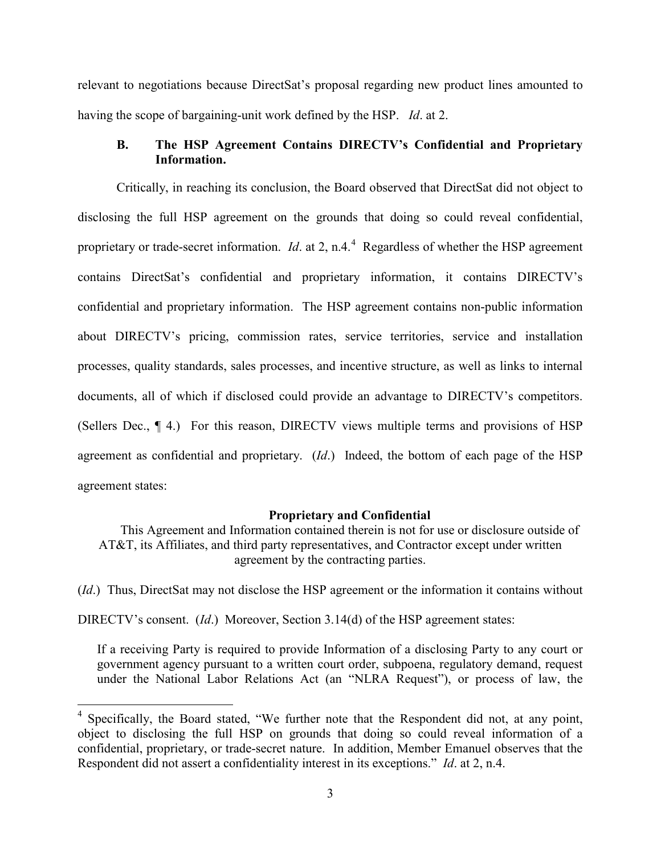relevant to negotiations because DirectSat's proposal regarding new product lines amounted to having the scope of bargaining-unit work defined by the HSP. *Id*. at 2.

## **B. The HSP Agreement Contains DIRECTV's Confidential and Proprietary Information.**

Critically, in reaching its conclusion, the Board observed that DirectSat did not object to disclosing the full HSP agreement on the grounds that doing so could reveal confidential, proprietary or trade-secret information. *Id*. at 2, n.[4](#page-2-0).<sup>4</sup> Regardless of whether the HSP agreement contains DirectSat's confidential and proprietary information, it contains DIRECTV's confidential and proprietary information. The HSP agreement contains non-public information about DIRECTV's pricing, commission rates, service territories, service and installation processes, quality standards, sales processes, and incentive structure, as well as links to internal documents, all of which if disclosed could provide an advantage to DIRECTV's competitors. (Sellers Dec., ¶ 4.) For this reason, DIRECTV views multiple terms and provisions of HSP agreement as confidential and proprietary. (*Id*.) Indeed, the bottom of each page of the HSP agreement states:

#### **Proprietary and Confidential**

This Agreement and Information contained therein is not for use or disclosure outside of AT&T, its Affiliates, and third party representatives, and Contractor except under written agreement by the contracting parties.

(*Id*.) Thus, DirectSat may not disclose the HSP agreement or the information it contains without

DIRECTV's consent. (*Id*.) Moreover, Section 3.14(d) of the HSP agreement states:

If a receiving Party is required to provide Information of a disclosing Party to any court or government agency pursuant to a written court order, subpoena, regulatory demand, request under the National Labor Relations Act (an "NLRA Request"), or process of law, the

<span id="page-2-0"></span><sup>&</sup>lt;sup>4</sup> Specifically, the Board stated, "We further note that the Respondent did not, at any point, object to disclosing the full HSP on grounds that doing so could reveal information of a confidential, proprietary, or trade-secret nature. In addition, Member Emanuel observes that the Respondent did not assert a confidentiality interest in its exceptions." *Id*. at 2, n.4.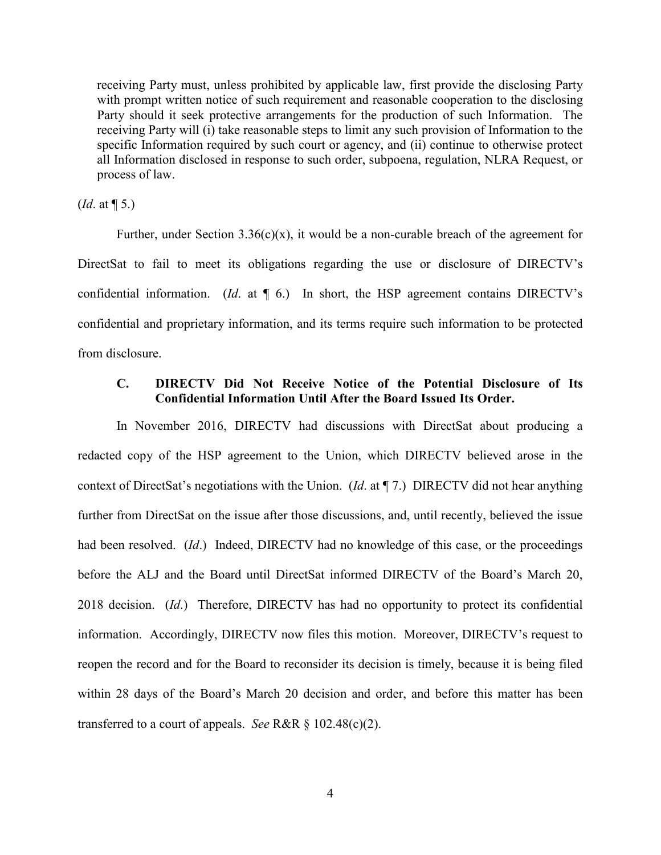receiving Party must, unless prohibited by applicable law, first provide the disclosing Party with prompt written notice of such requirement and reasonable cooperation to the disclosing Party should it seek protective arrangements for the production of such Information. The receiving Party will (i) take reasonable steps to limit any such provision of Information to the specific Information required by such court or agency, and (ii) continue to otherwise protect all Information disclosed in response to such order, subpoena, regulation, NLRA Request, or process of law.

(*Id*. at ¶ 5.)

Further, under Section 3.36(c)(x), it would be a non-curable breach of the agreement for DirectSat to fail to meet its obligations regarding the use or disclosure of DIRECTV's confidential information. (*Id*. at ¶ 6.) In short, the HSP agreement contains DIRECTV's confidential and proprietary information, and its terms require such information to be protected from disclosure.

### **C. DIRECTV Did Not Receive Notice of the Potential Disclosure of Its Confidential Information Until After the Board Issued Its Order.**

In November 2016, DIRECTV had discussions with DirectSat about producing a redacted copy of the HSP agreement to the Union, which DIRECTV believed arose in the context of DirectSat's negotiations with the Union. (*Id*. at ¶ 7.) DIRECTV did not hear anything further from DirectSat on the issue after those discussions, and, until recently, believed the issue had been resolved. (*Id.*) Indeed, DIRECTV had no knowledge of this case, or the proceedings before the ALJ and the Board until DirectSat informed DIRECTV of the Board's March 20, 2018 decision. (*Id*.) Therefore, DIRECTV has had no opportunity to protect its confidential information. Accordingly, DIRECTV now files this motion. Moreover, DIRECTV's request to reopen the record and for the Board to reconsider its decision is timely, because it is being filed within 28 days of the Board's March 20 decision and order, and before this matter has been transferred to a court of appeals. *See* R&R § 102.48(c)(2).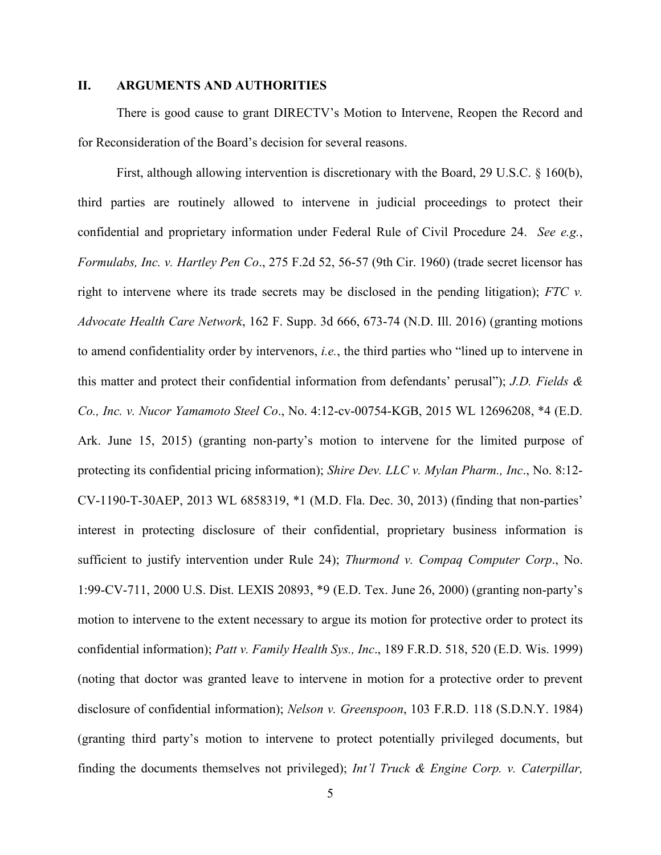### **II. ARGUMENTS AND AUTHORITIES**

There is good cause to grant DIRECTV's Motion to Intervene, Reopen the Record and for Reconsideration of the Board's decision for several reasons.

First, although allowing intervention is discretionary with the Board, 29 U.S.C. § 160(b), third parties are routinely allowed to intervene in judicial proceedings to protect their confidential and proprietary information under Federal Rule of Civil Procedure 24. *See e.g.*, *Formulabs, Inc. v. Hartley Pen Co*., 275 F.2d 52, 56-57 (9th Cir. 1960) (trade secret licensor has right to intervene where its trade secrets may be disclosed in the pending litigation); *FTC v. Advocate Health Care Network*, 162 F. Supp. 3d 666, 673-74 (N.D. Ill. 2016) (granting motions to amend confidentiality order by intervenors, *i.e.*, the third parties who "lined up to intervene in this matter and protect their confidential information from defendants' perusal"); *J.D. Fields & Co., Inc. v. Nucor Yamamoto Steel Co*., No. 4:12-cv-00754-KGB, 2015 WL 12696208, \*4 (E.D. Ark. June 15, 2015) (granting non-party's motion to intervene for the limited purpose of protecting its confidential pricing information); *Shire Dev. LLC v. Mylan Pharm., Inc*., No. 8:12- CV-1190-T-30AEP, 2013 WL 6858319, \*1 (M.D. Fla. Dec. 30, 2013) (finding that non-parties' interest in protecting disclosure of their confidential, proprietary business information is sufficient to justify intervention under Rule 24); *Thurmond v. Compaq Computer Corp*., No. 1:99-CV-711, 2000 U.S. Dist. LEXIS 20893, \*9 (E.D. Tex. June 26, 2000) (granting non-party's motion to intervene to the extent necessary to argue its motion for protective order to protect its confidential information); *Patt v. Family Health Sys., Inc*., 189 F.R.D. 518, 520 (E.D. Wis. 1999) (noting that doctor was granted leave to intervene in motion for a protective order to prevent disclosure of confidential information); *Nelson v. Greenspoon*, 103 F.R.D. 118 (S.D.N.Y. 1984) (granting third party's motion to intervene to protect potentially privileged documents, but finding the documents themselves not privileged); *Int'l Truck & Engine Corp. v. Caterpillar,*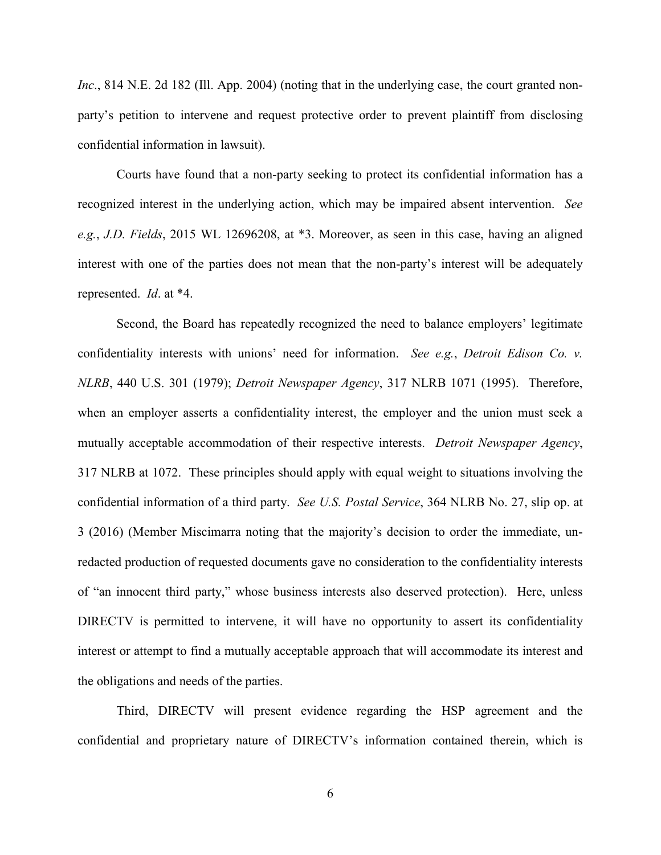*Inc.*, 814 N.E. 2d 182 (Ill. App. 2004) (noting that in the underlying case, the court granted nonparty's petition to intervene and request protective order to prevent plaintiff from disclosing confidential information in lawsuit).

Courts have found that a non-party seeking to protect its confidential information has a recognized interest in the underlying action, which may be impaired absent intervention. *See e.g.*, *J.D. Fields*, 2015 WL 12696208, at \*3. Moreover, as seen in this case, having an aligned interest with one of the parties does not mean that the non-party's interest will be adequately represented. *Id*. at \*4.

Second, the Board has repeatedly recognized the need to balance employers' legitimate confidentiality interests with unions' need for information. *See e.g.*, *Detroit Edison Co. v. NLRB*, 440 U.S. 301 (1979); *Detroit Newspaper Agency*, 317 NLRB 1071 (1995). Therefore, when an employer asserts a confidentiality interest, the employer and the union must seek a mutually acceptable accommodation of their respective interests. *Detroit Newspaper Agency*, 317 NLRB at 1072. These principles should apply with equal weight to situations involving the confidential information of a third party. *See U.S. Postal Service*, 364 NLRB No. 27, slip op. at 3 (2016) (Member Miscimarra noting that the majority's decision to order the immediate, unredacted production of requested documents gave no consideration to the confidentiality interests of "an innocent third party," whose business interests also deserved protection). Here, unless DIRECTV is permitted to intervene, it will have no opportunity to assert its confidentiality interest or attempt to find a mutually acceptable approach that will accommodate its interest and the obligations and needs of the parties.

Third, DIRECTV will present evidence regarding the HSP agreement and the confidential and proprietary nature of DIRECTV's information contained therein, which is

6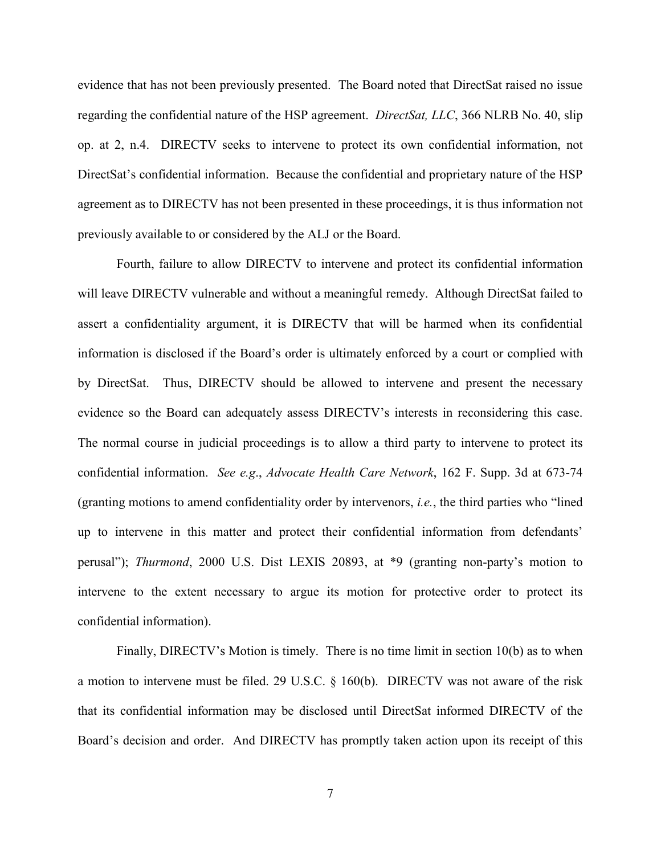evidence that has not been previously presented. The Board noted that DirectSat raised no issue regarding the confidential nature of the HSP agreement. *DirectSat, LLC*, 366 NLRB No. 40, slip op. at 2, n.4. DIRECTV seeks to intervene to protect its own confidential information, not DirectSat's confidential information. Because the confidential and proprietary nature of the HSP agreement as to DIRECTV has not been presented in these proceedings, it is thus information not previously available to or considered by the ALJ or the Board.

Fourth, failure to allow DIRECTV to intervene and protect its confidential information will leave DIRECTV vulnerable and without a meaningful remedy. Although DirectSat failed to assert a confidentiality argument, it is DIRECTV that will be harmed when its confidential information is disclosed if the Board's order is ultimately enforced by a court or complied with by DirectSat. Thus, DIRECTV should be allowed to intervene and present the necessary evidence so the Board can adequately assess DIRECTV's interests in reconsidering this case. The normal course in judicial proceedings is to allow a third party to intervene to protect its confidential information. *See e.g*., *Advocate Health Care Network*, 162 F. Supp. 3d at 673-74 (granting motions to amend confidentiality order by intervenors, *i.e.*, the third parties who "lined up to intervene in this matter and protect their confidential information from defendants' perusal"); *Thurmond*, 2000 U.S. Dist LEXIS 20893, at \*9 (granting non-party's motion to intervene to the extent necessary to argue its motion for protective order to protect its confidential information).

Finally, DIRECTV's Motion is timely. There is no time limit in section 10(b) as to when a motion to intervene must be filed. 29 U.S.C. § 160(b). DIRECTV was not aware of the risk that its confidential information may be disclosed until DirectSat informed DIRECTV of the Board's decision and order. And DIRECTV has promptly taken action upon its receipt of this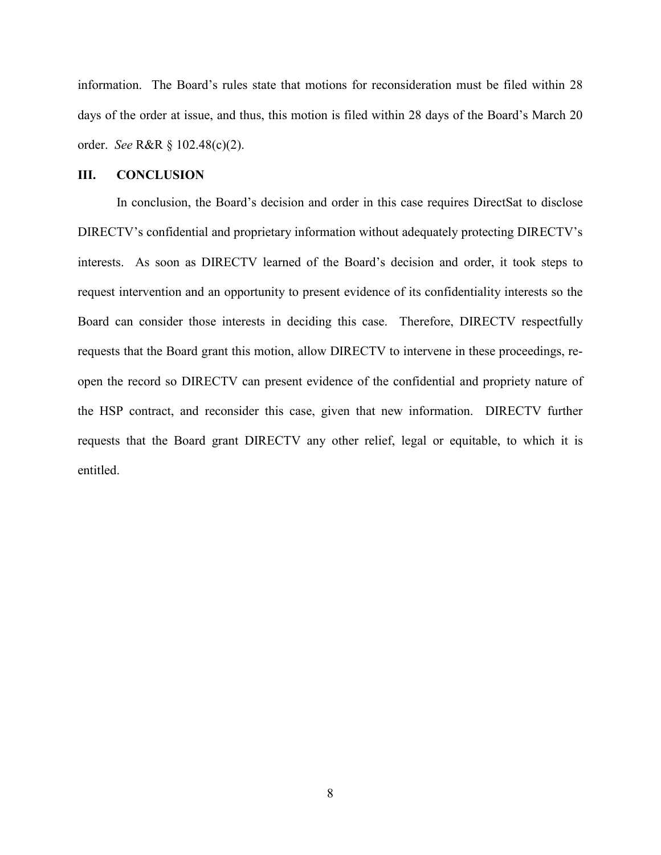information. The Board's rules state that motions for reconsideration must be filed within 28 days of the order at issue, and thus, this motion is filed within 28 days of the Board's March 20 order. *See* R&R § 102.48(c)(2).

### **III. CONCLUSION**

In conclusion, the Board's decision and order in this case requires DirectSat to disclose DIRECTV's confidential and proprietary information without adequately protecting DIRECTV's interests. As soon as DIRECTV learned of the Board's decision and order, it took steps to request intervention and an opportunity to present evidence of its confidentiality interests so the Board can consider those interests in deciding this case. Therefore, DIRECTV respectfully requests that the Board grant this motion, allow DIRECTV to intervene in these proceedings, reopen the record so DIRECTV can present evidence of the confidential and propriety nature of the HSP contract, and reconsider this case, given that new information. DIRECTV further requests that the Board grant DIRECTV any other relief, legal or equitable, to which it is entitled.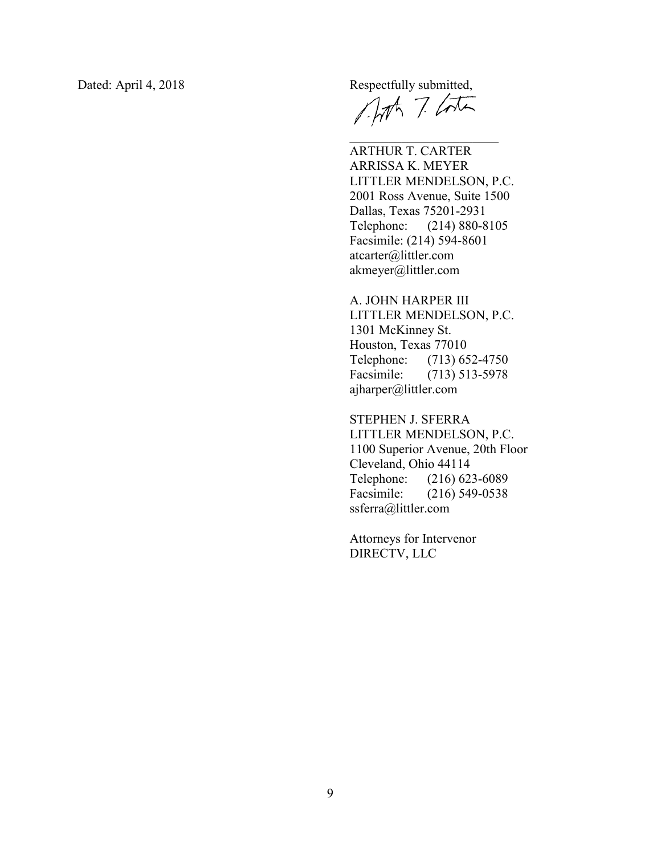Dated: April 4, 2018 Respectfully submitted,

 $M$   $7$   $4\pi$ 

ARTHUR T. CARTER ARRISSA K. MEYER LITTLER MENDELSON, P.C. 2001 Ross Avenue, Suite 1500 Dallas, Texas 75201-2931 Telephone: (214) 880-8105 Facsimile: (214) 594-8601 atcarter@littler.com akmeyer@littler.com

A. JOHN HARPER III LITTLER MENDELSON, P.C. 1301 McKinney St. Houston, Texas 77010 Telephone: (713) 652-4750 Facsimile: (713) 513-5978 ajharper@littler.com

STEPHEN J. SFERRA LITTLER MENDELSON, P.C. 1100 Superior Avenue, 20th Floor Cleveland, Ohio 44114 Telephone: (216) 623-6089 Facsimile: (216) 549-0538 ssferra@littler.com

Attorneys for Intervenor DIRECTV, LLC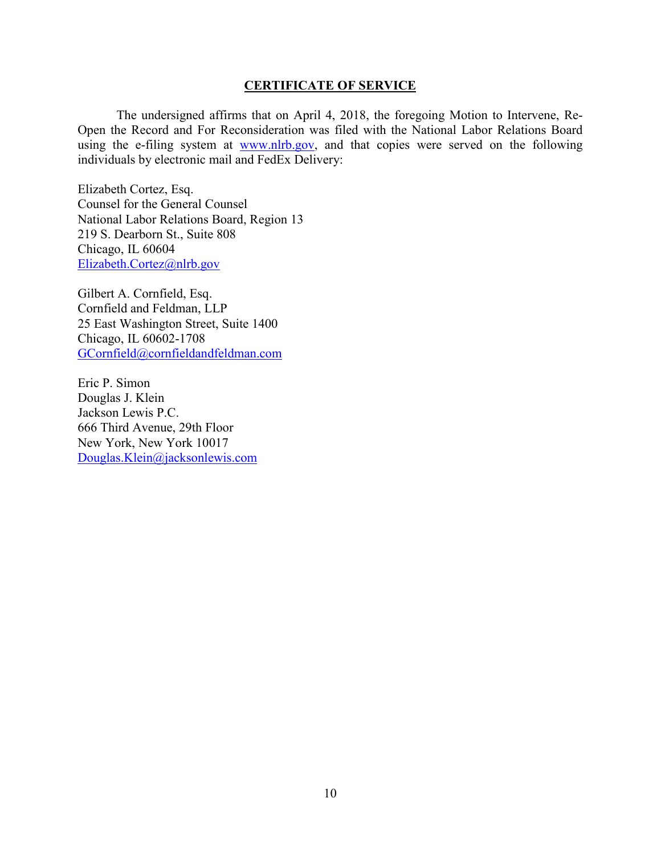### **CERTIFICATE OF SERVICE**

The undersigned affirms that on April 4, 2018, the foregoing Motion to Intervene, Re-Open the Record and For Reconsideration was filed with the National Labor Relations Board using the e-filing system at [www.nlrb.gov,](http://www.nlrb.gov/) and that copies were served on the following individuals by electronic mail and FedEx Delivery:

Elizabeth Cortez, Esq. Counsel for the General Counsel National Labor Relations Board, Region 13 219 S. Dearborn St., Suite 808 Chicago, IL 60604 [Elizabeth.Cortez@nlrb.gov](mailto:Elizabeth.Cortez@nlrb.gov)

Gilbert A. Cornfield, Esq. Cornfield and Feldman, LLP 25 East Washington Street, Suite 1400 Chicago, IL 60602-1708 [GCornfield@cornfieldandfeldman.com](mailto:GCornfield@cornfieldandfeldman.com)

Eric P. Simon Douglas J. Klein Jackson Lewis P.C. 666 Third Avenue, 29th Floor New York, New York 10017 [Douglas.Klein@jacksonlewis.com](mailto:Douglas.Klein@jacksonlewis.com)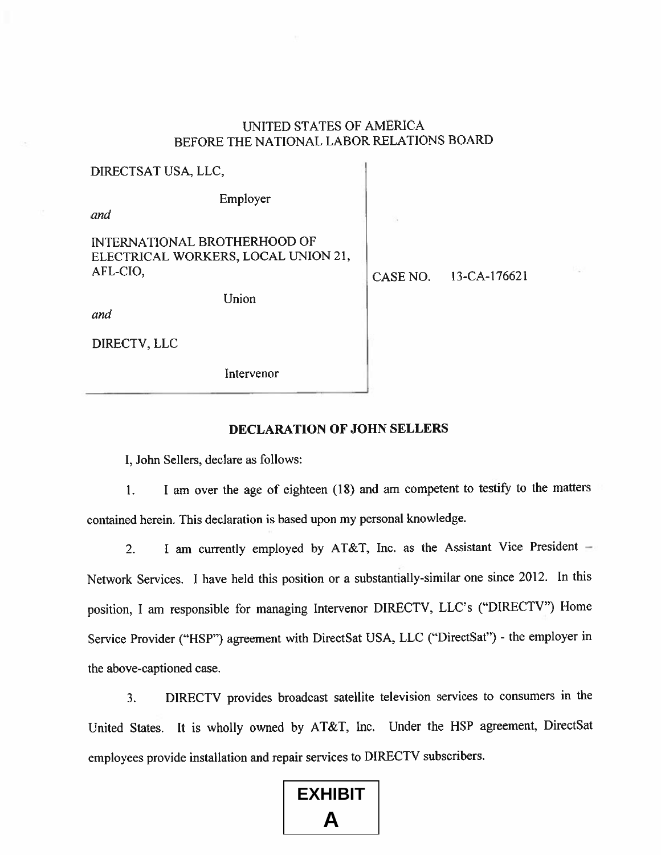## UNITED STATES OF AMERICA BEFORE THE NATIONAL LABOR RELATIONS BOARD

| DIRECTSAT USA, LLC,                                                                    |          |                    |
|----------------------------------------------------------------------------------------|----------|--------------------|
| Employer                                                                               |          |                    |
| and                                                                                    |          |                    |
| <b>INTERNATIONAL BROTHERHOOD OF</b><br>ELECTRICAL WORKERS, LOCAL UNION 21,<br>AFL-CIO, | CASE NO. | $13 - CA - 176621$ |
| Union                                                                                  |          |                    |
| and                                                                                    |          |                    |
| DIRECTV, LLC                                                                           |          |                    |
| Intervenor                                                                             |          |                    |

## DECLARATION OF JOHN SELLERS

I. John Sellers, declare as follows:

 $\mathbf{1}$ . I am over the age of eighteen (18) and am competent to testify to the matters contained herein. This declaration is based upon my personal knowledge.

2. I am currently employed by AT&T, Inc. as the Assistant Vice President  $-$ Network Services. <sup>I</sup> have held this position or <sup>a</sup> substantially-similar one since 2012. In this position, I am responsible for managing Intervenor DIRECTV, LLC's ("DIRECTV") Home Service Provider ("HSP") agreement with DirectSat USA, LLC ("DirectSat") - the employer in the above-captioned case.

3. DIRECTV provides broadcast satellite television services to consumers in the United States. It is wholly owned by AT&T, Inc. Under the HSP agreement. DirectSat employees provide installation and repair services to DIRECTV subscribers.

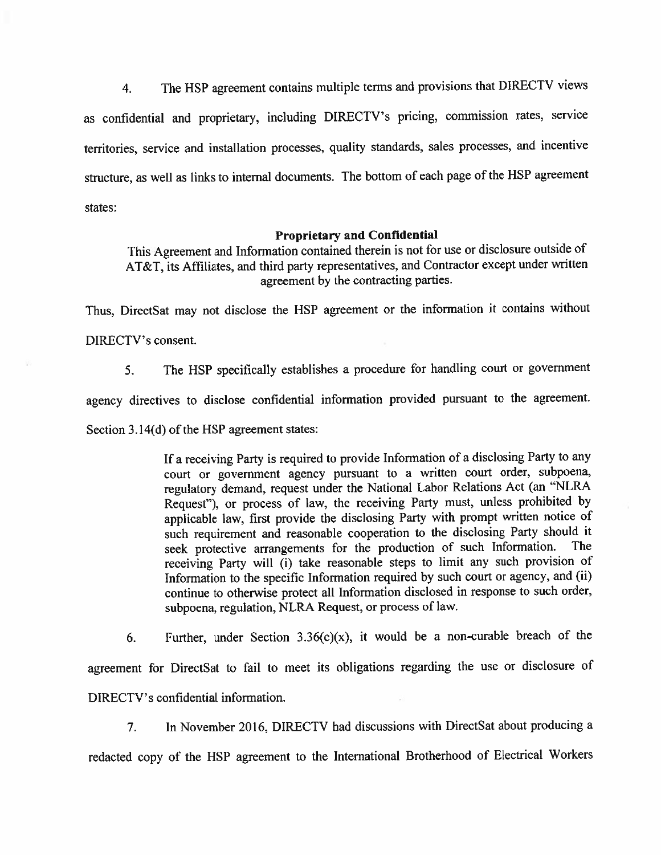4. The HSP agreemen<sup>t</sup> contains multiple terms and provisions that DIRECTV views as confidential and proprietary, including DTRECTV's pricing, commission rates, service territories, service and installation processes, quality standards, sales processes, and incentive structure, as well as links to internal documents. The bottom of each page of the HSP agreemen<sup>t</sup> states:

#### Proprietary and Confidential

This Agreement and Information contained therein is not for use or disclosure outside of AT&T, its Affiliates, and third party representatives, and Contractor except under written agreemen<sup>t</sup> by the contracting parties.

Thus, DirectSat may not disclose the HSP agreemen<sup>t</sup> or the information it contains without

DIRECTV's consent.

5. The HSP specifically establishes a procedure for handling court or government agency directives to disclose confidential information provided pursuan<sup>t</sup> to the agreement. Section 3.14(d) of the HSP agreemen<sup>t</sup> states:

> If <sup>a</sup> receiving Party is required to provide Information of <sup>a</sup> disclosing Party to any court or governmen<sup>t</sup> agency pursuan<sup>t</sup> to <sup>a</sup> written court order, subpoena. regulatory demand, reques<sup>t</sup> under the National Labor Relations Act (an "NLRA Request"), or process of law, the receiving Party must, unless prohibited by applicable law, first provide the disclosing Party with promp<sup>t</sup> written notice of such requirement and reasonable cooperation to the disclosing Party should it seek protective arrangements for the production of such Information. The receiving Party will (i) take reasonable steps to limit any such provision of Information to the specific Information required by such court or agency, and (ii) continue to otherwise protect all Information disclosed in response to such order, subpoena, regulation. NLRA Request. or process of law.

6. Further, under Section  $3.36(c)(x)$ , it would be a non-curable breach of the agreemen<sup>t</sup> for DirectSat to fail to meet its obligations regarding the use or disclosure of DIRECTV's confidential information.

7. In November 2016. DIRECTV had discussions with DirectSat about producing <sup>a</sup> redacted copy of the HSP agreemen<sup>t</sup> to the International Brotherhood of Electrical Workers